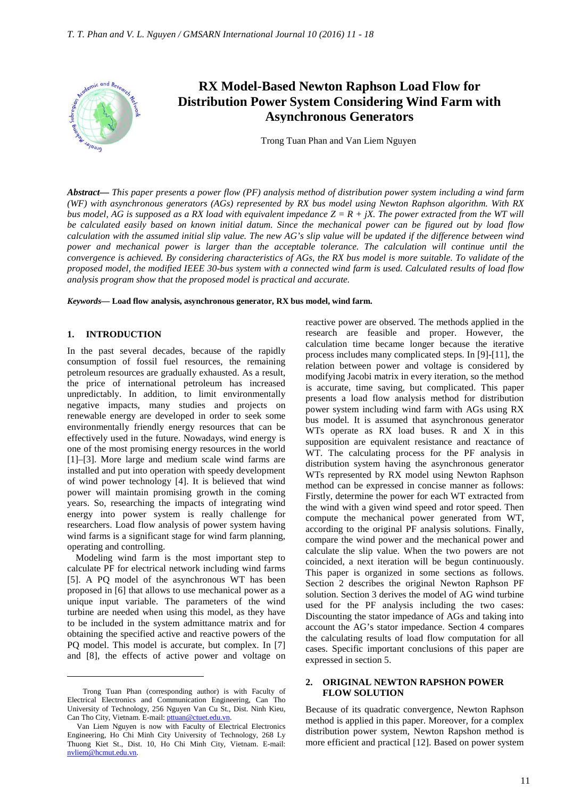

# **RX Model-Based Newton Raphson Load Flow for Distribution Power System Considering Wind Farm with Asynchronous Generators**

Trong Tuan Phan and Van Liem Nguyen

*Abstract***—** *This paper presents a power flow (PF) analysis method of distribution power system including a wind farm (WF) with asynchronous generators (AGs) represented by RX bus model using Newton Raphson algorithm. With RX bus model, AG is supposed as a RX load with equivalent impedance*  $Z = R + jX$ . The power extracted from the WT will *be calculated easily based on known initial datum. Since the mechanical power can be figured out by load flow calculation with the assumed initial slip value. The new AG's slip value will be updated if the difference between wind power and mechanical power is larger than the acceptable tolerance. The calculation will continue until the convergence is achieved. By considering characteristics of AGs, the RX bus model is more suitable. To validate of the proposed model, the modified IEEE 30-bus system with a connected wind farm is used. Calculated results of load flow analysis program show that the proposed model is practical and accurate.*

*Keywords***— Load flow analysis, asynchronous generator, RX bus model, wind farm.**

#### **1. INTRODUCTION**

 $\overline{a}$ 

In the past several decades, because of the rapidly consumption of fossil fuel resources, the remaining petroleum resources are gradually exhausted. As a result, the price of international petroleum has increased unpredictably. In addition, to limit environmentally negative impacts, many studies and projects on renewable energy are developed in order to seek some environmentally friendly energy resources that can be effectively used in the future. Nowadays, wind energy is one of the most promising energy resources in the world [1]–[3]. More large and medium scale wind farms are installed and put into operation with speedy development of wind power technology [4]. It is believed that wind power will maintain promising growth in the coming years. So, researching the impacts of integrating wind energy into power system is really challenge for researchers. Load flow analysis of power system having wind farms is a significant stage for wind farm planning, operating and controlling.

Modeling wind farm is the most important step to calculate PF for electrical network including wind farms [5]. A PQ model of the asynchronous WT has been proposed in [6] that allows to use mechanical power as a unique input variable. The parameters of the wind turbine are needed when using this model, as they have to be included in the system admittance matrix and for obtaining the specified active and reactive powers of the PQ model. This model is accurate, but complex. In [7] and [8], the effects of active power and voltage on

reactive power are observed. The methods applied in the research are feasible and proper. However, the calculation time became longer because the iterative process includes many complicated steps. In [9]-[11], the relation between power and voltage is considered by modifying Jacobi matrix in every iteration, so the method is accurate, time saving, but complicated. This paper presents a load flow analysis method for distribution power system including wind farm with AGs using RX bus model. It is assumed that asynchronous generator WTs operate as RX load buses. R and X in this supposition are equivalent resistance and reactance of WT. The calculating process for the PF analysis in distribution system having the asynchronous generator WTs represented by RX model using Newton Raphson method can be expressed in concise manner as follows: Firstly, determine the power for each WT extracted from the wind with a given wind speed and rotor speed. Then compute the mechanical power generated from WT, according to the original PF analysis solutions. Finally, compare the wind power and the mechanical power and calculate the slip value. When the two powers are not coincided, a next iteration will be begun continuously. This paper is organized in some sections as follows. Section 2 describes the original Newton Raphson PF solution. Section 3 derives the model of AG wind turbine used for the PF analysis including the two cases: Discounting the stator impedance of AGs and taking into account the AG's stator impedance. Section 4 compares the calculating results of load flow computation for all cases. Specific important conclusions of this paper are expressed in section 5.

# **2. ORIGINAL NEWTON RAPSHON POWER FLOW SOLUTION**

Because of its quadratic convergence, Newton Raphson method is applied in this paper. Moreover, for a complex distribution power system, Newton Rapshon method is more efficient and practical [12]. Based on power system

Trong Tuan Phan (corresponding author) is with Faculty of Electrical Electronics and Communication Engineering, Can Tho University of Technology, 256 Nguyen Van Cu St., Dist. Ninh Kieu, Can Tho City, Vietnam. E-mail: pttuan@ctuet.edu.vn.

Van Liem Nguyen is now with Faculty of Electrical Electronics Engineering, Ho Chi Minh City University of Technology, 268 Ly Thuong Kiet St., Dist. 10, Ho Chi Minh City, Vietnam. E-mail: nvliem@hcmut.edu.vn.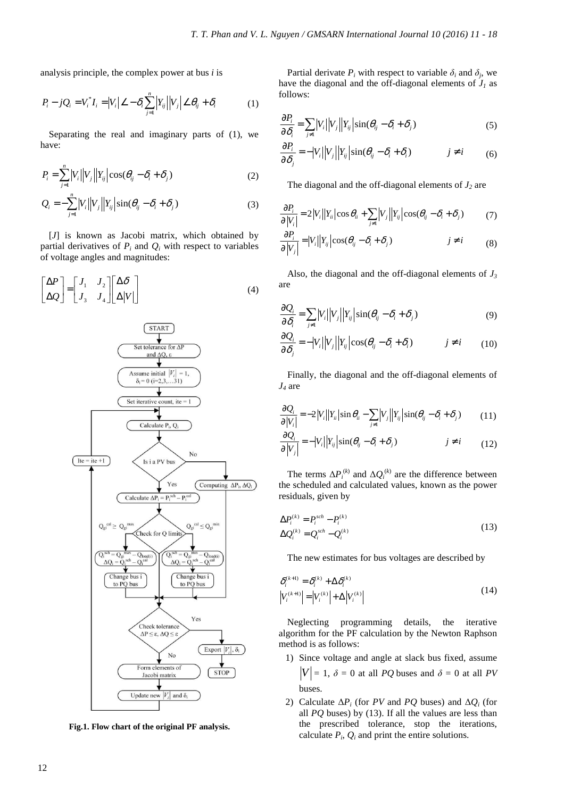analysis principle, the complex power at bus *i* is

$$
P_i - jQ_i = V_i^* I_i = |V_i| \angle - \delta_i \sum_{j=1}^n |Y_{ij}| |V_j| \angle \theta_{ij} + \delta_i
$$
 (1)

Separating the real and imaginary parts of (1), we have:

$$
P_i = \sum_{j=1}^{n} |V_i| |V_j| |X_{ij}| \cos(\theta_{ij} - \delta_i + \delta_j)
$$
 (2)

$$
Q_i = -\sum_{j=1}^{n} |V_i||V_j||Y_{ij}|\sin(\theta_{ij} - \delta_i + \delta_j)
$$
\n(3)

[*J*] is known as Jacobi matrix, which obtained by partial derivatives of  $P_i$  and  $Q_i$  with respect to variables of voltage angles and magnitudes:

$$
\begin{bmatrix} \Delta P \\ \Delta Q \end{bmatrix} = \begin{bmatrix} J_1 & J_2 \\ J_3 & J_4 \end{bmatrix} \begin{bmatrix} \Delta \delta \\ \Delta |V| \end{bmatrix}
$$
 (4)



**Fig.1. Flow chart of the original PF analysis.**

Partial derivate  $P_i$  with respect to variable  $\delta_i$  and  $\delta_j$ , we have the diagonal and the off-diagonal elements of  $J<sub>1</sub>$  as follows:

$$
\frac{\partial P_i}{\partial \delta_i} = \sum_{j \neq 1} |V_i||V_j||Y_{ij}|\sin(\theta_{ij} - \delta_i + \delta_j)
$$
\n(5)

$$
\frac{\partial P_i}{\partial \delta_j} = -|V_i||V_j||Y_{ij}|\sin(\theta_{ij} - \delta_i + \delta_i) \qquad j \neq i \qquad (6)
$$

The diagonal and the off-diagonal elements of *J2* are

$$
\frac{\partial P_i}{\partial |V_i|} = 2|V_i||Y_i|\cos\theta_i + \sum_{j\neq i}|V_j||Y_{ij}|\cos(\theta_{ij} - \delta_i + \delta_j)
$$
(7)

$$
\frac{\partial P_i}{\partial |V_j|} = |V_i||Y_{ij}|\cos(\theta_{ij} - \delta_i + \delta_j) \qquad j \neq i \qquad (8)
$$

Also, the diagonal and the off-diagonal elements of *J<sup>3</sup>* are

$$
\frac{\partial Q_i}{\partial \delta_i} = \sum_{j \neq 1} |V_i||V_j||Y_{ij}|\sin(\theta_{ij} - \delta_i + \delta_j)
$$
\n(9)

$$
\frac{\partial Q_i}{\partial \delta_j} = -|V_i||V_j||Y_{ij}|\cos(\theta_{ij} - \delta_i + \delta_i) \qquad j \neq i \qquad (10)
$$

Finally, the diagonal and the off-diagonal elements of *J4* are

$$
\frac{\partial Q_i}{\partial |V_i|} = -2|V_i||Y_{ii}|\sin\theta_{ii} - \sum_{j\neq i}|V_j||Y_{ij}|\sin(\theta_{ij} - \delta_i + \delta_j)
$$
(11)

$$
\frac{\partial Q_i}{\partial |V_j|} = -|V_i||Y_{ij}|\sin(\theta_{ij} - \delta_i + \delta_j) \qquad j \neq i \qquad (12)
$$

The terms  $\Delta P_i^{(k)}$  and  $\Delta Q_i^{(k)}$  are the difference between the scheduled and calculated values, known as the power residuals, given by

$$
\Delta P_i^{(k)} = P_i^{sch} - P_i^{(k)}
$$
  
\n
$$
\Delta Q_i^{(k)} = Q_i^{sch} - Q_i^{(k)}
$$
\n(13)

The new estimates for bus voltages are described by

$$
\delta_i^{(k+1)} = \delta_i^{(k)} + \Delta \delta_i^{(k)}
$$
\n
$$
|V_i^{(k+1)}| = |V_i^{(k)}| + \Delta |V_i^{(k)}|
$$
\n(14)

Neglecting programming details, the iterative algorithm for the PF calculation by the Newton Raphson method is as follows:

- 1) Since voltage and angle at slack bus fixed, assume  $|V| = 1$ ,  $\delta = 0$  at all *PQ* buses and  $\delta = 0$  at all *PV* buses.
- 2) Calculate  $\Delta P_i$  (for *PV* and *PQ* buses) and  $\Delta Q_i$  (for all *PQ* buses) by (13). If all the values are less than the prescribed tolerance, stop the iterations, calculate  $P_i$ ,  $Q_i$  and print the entire solutions.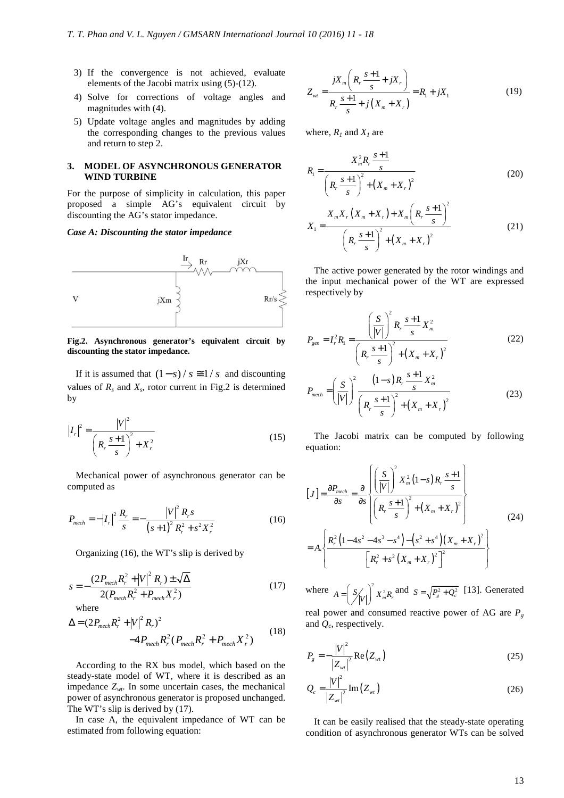- 3) If the convergence is not achieved, evaluate elements of the Jacobi matrix using (5)-(12).
- 4) Solve for corrections of voltage angles and magnitudes with (4).
- 5) Update voltage angles and magnitudes by adding the corresponding changes to the previous values and return to step 2.

# **3. MODEL OF ASYNCHRONOUS GENERATOR WIND TURBINE**

For the purpose of simplicity in calculation, this paper proposed a simple AG's equivalent circuit by discounting the AG's stator impedance.

## *Case A: Discounting the stator impedance*



**Fig.2. Asynchronous generator's equivalent circuit by discounting the stator impedance.** 

If it is assumed that  $(1 - s) / s \approx 1/s$  and discounting values of  $R_s$  and  $X_s$ , rotor current in Fig.2 is determined by

$$
|I_r|^2 = \frac{|V|^2}{\left(R_r \frac{s+1}{s}\right)^2 + X_r^2}
$$
 (15)

Mechanical power of asynchronous generator can be computed as

$$
P_{mech} = -|I_r|^2 \frac{R_r}{s} = -\frac{|V|^2 R_r s}{(s+1)^2 R_r^2 + s^2 X_r^2}
$$
 (16)

Organizing (16), the WT's slip is derived by

$$
s = -\frac{(2P_{mech}R_r^2 + |V|^2 R_r) \pm \sqrt{\Delta}}{2(P_{mech}R_r^2 + P_{mech}X_r^2)}
$$
(17)

where

$$
\Delta = (2P_{mech}R_r^2 + |V|^2 R_r)^2
$$
  
-4P\_{mech}R\_r^2 (P\_{mech}R\_r^2 + P\_{mech}X\_r^2) (18)

According to the RX bus model, which based on the steady-state model of WT, where it is described as an impedance  $Z_{wt}$ . In some uncertain cases, the mechanical power of asynchronous generator is proposed unchanged. The WT's slip is derived by (17).

In case A, the equivalent impedance of WT can be estimated from following equation:

$$
Z_{wt} = \frac{jX_m \left(R_r \frac{s+1}{s} + jX_r\right)}{R_r \frac{s+1}{s} + j\left(X_m + X_r\right)} = R_1 + jX_1\tag{19}
$$

where,  $R_1$  and  $X_1$  are

$$
R_{1} = \frac{X_{m}^{2} R_{r} \frac{s+1}{s}}{\left(R_{r} \frac{s+1}{s}\right)^{2} + \left(X_{m} + X_{r}\right)^{2}}
$$
\n
$$
X_{1} = \frac{X_{m} X_{r} \left(X_{m} + X_{r}\right) + X_{m} \left(R_{r} \frac{s+1}{s}\right)^{2}}{\left(R_{r} \frac{s+1}{s}\right)^{2} + \left(X_{m} + X_{r}\right)^{2}}
$$
\n(21)

The active power generated by the rotor windings and the input mechanical power of the WT are expressed respectively by

$$
P_{gen} = I_r^2 R_1 = \frac{\left(\frac{S}{|V|}\right)^2 R_r \frac{s+1}{s} X_m^2}{\left(R_r \frac{s+1}{s}\right)^2 + \left(X_m + X_r\right)^2}
$$
\n
$$
P_{mech} = \left(\frac{S}{|V|}\right)^2 \frac{\left(1-s\right) R_r \frac{s+1}{s} X_m^2}{\left(R_r \frac{s+1}{s}\right)^2 + \left(X_m + X_r\right)^2}
$$
\n(23)

The Jacobi matrix can be computed by following equation:

$$
[J] = \frac{\partial P_{mech}}{\partial s} = \frac{\partial}{\partial s} \left\{ \frac{\left(\frac{S}{|V|}\right)^2 X_m^2 (1-s) R_r \frac{s+1}{s}}{\left(R_r \frac{s+1}{s}\right)^2 + \left(X_m + X_r\right)^2} \right\}
$$
  
=  $A \cdot \left\{ \frac{R_r^2 \left(1 - 4s^2 - 4s^3 - s^4\right) - \left(s^2 + s^4\right) \left(X_m + X_r\right)^2}{\left[R_r^2 + s^2 \left(X_m + X_r\right)^2\right]^2} \right\}$  (24)

where  $A = \left(\frac{S}{V}\right)^2 X_m^2 R$ ,  $=\left(\frac{S}{|V|}\right)^2 X_m^2 R_r$  and  $S = \sqrt{P_g^2 + Q_c^2}$  [13]. Generated

real power and consumed reactive power of AG are *P<sup>g</sup>* and *Q<sup>c</sup>* , respectively.

$$
P_{g} = -\frac{|V|^{2}}{|Z_{wI}|^{2}} \operatorname{Re}(Z_{wI})
$$
 (25)

$$
Q_c = \frac{|V|^2}{|Z_{wt}|^2} \text{Im}(Z_{wt})
$$
 (26)

It can be easily realised that the steady-state operating condition of asynchronous generator WTs can be solved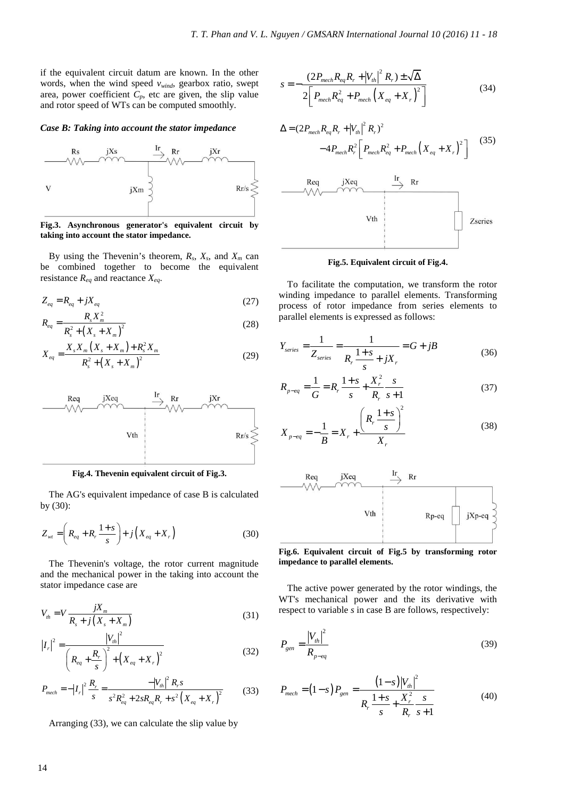if the equivalent circuit datum are known. In the other words, when the wind speed *vwind*, gearbox ratio, swept area, power coefficient  $C_p$ , etc are given, the slip value and rotor speed of WTs can be computed smoothly.

#### *Case B: Taking into account the stator impedance*



**Fig.3. Asynchronous generator's equivalent circuit by taking into account the stator impedance.** 

By using the Thevenin's theorem,  $R_s$ ,  $X_s$ , and  $X_m$  can be combined together to become the equivalent resistance  $R_{eq}$  and reactance  $X_{eq}$ .

$$
Z_{eq} = R_{eq} + jX_{eq}
$$
\n
$$
27
$$

$$
R_{eq} = \frac{R_s X_m^2}{R_s^2 + (X_s + X_m)^2}
$$
 (28)

$$
X_{eq} = \frac{X_s X_m \left(X_s + X_m\right) + R_s^2 X_m}{R_s^2 + \left(X_s + X_m\right)^2}
$$
\n(29)



**Fig.4. Thevenin equivalent circuit of Fig.3.** 

The AG's equivalent impedance of case B is calculated by (30):

$$
Z_{wt} = \left(R_{eq} + R_r \frac{1+s}{s}\right) + j\left(X_{eq} + X_r\right)
$$
 (30)

The Thevenin's voltage, the rotor current magnitude and the mechanical power in the taking into account the stator impedance case are

$$
V_{th} = V \frac{jX_m}{R_s + j\left(X_s + X_m\right)}
$$
\n(31)

$$
|I_r|^2 = \frac{|V_{th}|^2}{\left(R_{eq} + \frac{R_r}{s}\right)^2 + \left(X_{eq} + X_r\right)^2}
$$
(32)

$$
P_{mech} = -|I_r|^2 \frac{R_r}{s} = \frac{-|V_{th}|^2 R_r s}{s^2 R_{eq}^2 + 2s R_{eq} R_r + s^2 (X_{eq} + X_r)^2}
$$
(33)

Arranging (33), we can calculate the slip value by

$$
s = -\frac{(2P_{mech}R_{eq}R_r + |V_{th}|^2 R_r) \pm \sqrt{\Delta}}{2\left[P_{mech}R_{eq}^2 + P_{mech}\left(X_{eq} + X_r\right)^2\right]}
$$
(34)

$$
\Delta = (2P_{mech}R_{eq}R_r + |V_{th}|^2 R_r)^2
$$
  
\n
$$
-4P_{mech}R_r^2 \left[P_{mech}R_{eq}^2 + P_{mech}(X_{eq} + X_r)^2\right]
$$
  
\n
$$
\xrightarrow{\text{Req}}
$$
  
\n
$$
\xrightarrow{\text{Req}}
$$
  
\n
$$
\xrightarrow{\text{Tr}}
$$
  
\n
$$
\xrightarrow{\text{Tr}}
$$
  
\n
$$
\xrightarrow{\text{Tr}}
$$
  
\n
$$
\xrightarrow{\text{Tr}}
$$
  
\n
$$
\xrightarrow{\text{Tr}}
$$
  
\n
$$
\xrightarrow{\text{Tr}}
$$
  
\n
$$
\xrightarrow{\text{Req}}
$$
  
\n
$$
\xrightarrow{\text{Tr}}
$$
  
\n
$$
\xrightarrow{\text{Tr}}
$$
  
\n
$$
\xrightarrow{\text{Req}}
$$
  
\n
$$
\xrightarrow{\text{Tr}}
$$
  
\n
$$
\xrightarrow{\text{Tr}}
$$
  
\n
$$
\xrightarrow{\text{Req}}
$$
  
\n
$$
\xrightarrow{\text{Tr}}
$$
  
\n
$$
\xrightarrow{\text{Req}}
$$
  
\n
$$
\xrightarrow{\text{Tr}}
$$
  
\n
$$
\xrightarrow{\text{Req}}
$$
  
\n
$$
\xrightarrow{\text{Req}}
$$
  
\n
$$
\xrightarrow{\text{Req}}
$$
  
\n
$$
\xrightarrow{\text{Req}}
$$
  
\n
$$
\xrightarrow{\text{Req}}
$$
  
\n
$$
\xrightarrow{\text{Req}}
$$
  
\n
$$
\xrightarrow{\text{Req}}
$$
  
\n
$$
\xrightarrow{\text{Req}}
$$
  
\n
$$
\xrightarrow{\text{Req}}
$$
  
\n
$$
\xrightarrow{\text{Req}}
$$
  
\n
$$
\xrightarrow{\text{Req}}
$$
  
\n
$$
\xrightarrow{\text{Req}}
$$
  
\n
$$
\xrightarrow{\text{Req}}
$$
  
\n
$$
\xrightarrow{\text{Req}}
$$
  
\n
$$
\xrightarrow{\text{Req}}
$$
  
\n
$$
\xrightarrow{\text{Req}}
$$
  
\n
$$
\xrightarrow{\text{Req}}
$$
  
\n
$$
\xrightarrow{\text{Req}}
$$
  
\n<

#### **Fig.5. Equivalent circuit of Fig.4.**

To facilitate the computation, we transform the rotor winding impedance to parallel elements. Transforming process of rotor impedance from series elements to parallel elements is expressed as follows:

$$
Y_{series} = \frac{1}{Z_{series}} = \frac{1}{R_r} \frac{1+s}{s} + jX_r = G + jB
$$
\n(36)

$$
R_{p \text{--} eq} = \frac{1}{G} = R_r \frac{1+s}{s} + \frac{X_r^2}{R_r} \frac{s}{s+1}
$$
 (37)

$$
X_{p \text{ - } eq} = -\frac{1}{B} = X_r + \frac{\left(R_r \frac{1+s}{s}\right)^2}{X_r}
$$
 (38)



**Fig.6. Equivalent circuit of Fig.5 by transforming rotor impedance to parallel elements.** 

The active power generated by the rotor windings, the WT's mechanical power and the its derivative with respect to variable *s* in case B are follows, respectively:

$$
P_{gen} = \frac{|V_{th}|^2}{R_{p-eq}}
$$
 (39)

$$
P_{mech} = (1 - s) P_{gen} = \frac{(1 - s)|V_{th}|^2}{R_r \frac{1 + s}{s} + \frac{X_r^2}{R_r} \frac{s}{s + 1}}
$$
(40)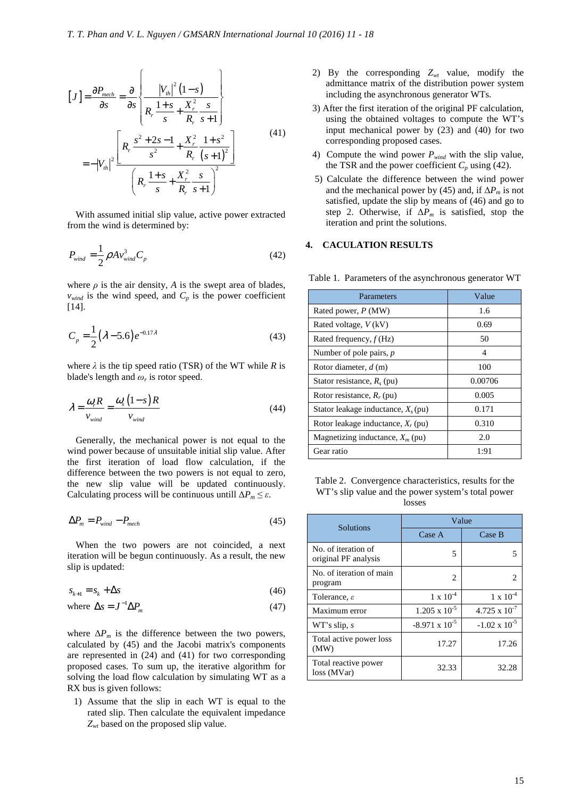$$
[J] = \frac{\partial P_{mech}}{\partial s} = \frac{\partial}{\partial s} \left\{ \frac{|V_{th}|^2 (1-s)}{R_r \frac{1+s}{s} + \frac{X_r^2}{R_r} \frac{s}{s+1}} \right\}
$$
  
=  $-|V_{th}|^2 \frac{\left[ R_r \frac{s^2 + 2s - 1}{s^2} + \frac{X_r^2}{R_r} \frac{1+s^2}{(s+1)^2} \right]}{\left( R_r \frac{1+s}{s} + \frac{X_r^2}{R_r} \frac{s}{s+1} \right)^2}$  (41)

With assumed initial slip value, active power extracted from the wind is determined by:

$$
P_{\text{wind}} = \frac{1}{2} \rho A v_{\text{wind}}^3 C_p \tag{42}
$$

where  $\rho$  is the air density,  $A$  is the swept area of blades,  $v_{wind}$  is the wind speed, and  $C_p$  is the power coefficient [14].

$$
C_p = \frac{1}{2} (\lambda - 5.6) e^{-0.17\lambda}
$$
 (43)

where  $\lambda$  is the tip speed ratio (TSR) of the WT while  $R$  is blade's length and  $\omega_r$  is rotor speed.

$$
\lambda = \frac{\omega_r R}{v_{wind}} = \frac{\omega_s (1 - s) R}{v_{wind}}
$$
(44)

Generally, the mechanical power is not equal to the wind power because of unsuitable initial slip value. After the first iteration of load flow calculation, if the difference between the two powers is not equal to zero, the new slip value will be updated continuously. Calculating process will be continuous untill  $\Delta P_m \leq \varepsilon$ .

$$
\Delta P_m = P_{wind} - P_{mech} \tag{45}
$$

When the two powers are not coincided, a next iteration will be begun continuously. As a result, the new slip is updated:

$$
s_{k+1} = s_k + \Delta s \tag{46}
$$

where 
$$
\Delta s = J^{-1} \Delta P_m
$$
 (47)

where  $\Delta P_m$  is the difference between the two powers, calculated by (45) and the Jacobi matrix's components are represented in (24) and (41) for two corresponding proposed cases. To sum up, the iterative algorithm for solving the load flow calculation by simulating WT as a RX bus is given follows:

1) Assume that the slip in each WT is equal to the rated slip. Then calculate the equivalent impedance *Zwt* based on the proposed slip value.

- 2) By the corresponding *Zwt* value, modify the admittance matrix of the distribution power system including the asynchronous generator WTs.
- 3) After the first iteration of the original PF calculation, using the obtained voltages to compute the WT's input mechanical power by (23) and (40) for two corresponding proposed cases.
- 4) Compute the wind power *Pwind* with the slip value, the TSR and the power coefficient  $C_p$  using (42).
- 5) Calculate the difference between the wind power and the mechanical power by (45) and, if  $\Delta P_m$  is not satisfied, update the slip by means of (46) and go to step 2. Otherwise, if Δ*Pm* is satisfied, stop the iteration and print the solutions.

# **4. CACULATION RESULTS**

| Parameters                            | Value   |
|---------------------------------------|---------|
| Rated power, $P(MW)$                  | 1.6     |
| Rated voltage, $V$ (kV)               | 0.69    |
| Rated frequency, $f(Hz)$              | 50      |
| Number of pole pairs, $p$             | 4       |
| Rotor diameter, $d(m)$                | 100     |
| Stator resistance, $R_s$ (pu)         | 0.00706 |
| Rotor resistance, $R_r$ (pu)          | 0.005   |
| Stator leakage inductance, $X_s$ (pu) | 0.171   |
| Rotor leakage inductance, $X_r$ (pu)  | 0.310   |
| Magnetizing inductance, $X_m$ (pu)    | 2.0     |
| Gear ratio                            | 1:91    |

Table 1. Parameters of the asynchronous generator WT

Table 2. Convergence characteristics, results for the WT's slip value and the power system's total power losses

| <b>Solutions</b>                            | Value                   |                        |  |  |
|---------------------------------------------|-------------------------|------------------------|--|--|
|                                             | Case A                  | Case B                 |  |  |
| No. of iteration of<br>original PF analysis | 5                       |                        |  |  |
| No. of iteration of main<br>program         | $\mathfrak{D}$          | 2                      |  |  |
| Tolerance, $\varepsilon$                    | $1 \times 10^{-4}$      | $1 \times 10^{-4}$     |  |  |
| Maximum error                               | $1.205 \times 10^{-5}$  | $4.725 \times 10^{-7}$ |  |  |
| WT's slip, s                                | $-8.971 \times 10^{-5}$ | $-1.02 \times 10^{-5}$ |  |  |
| Total active power loss<br>(MW)             | 17.27                   | 17.26                  |  |  |
| Total reactive power<br>loss (MVar)         | 32.33                   | 32.28                  |  |  |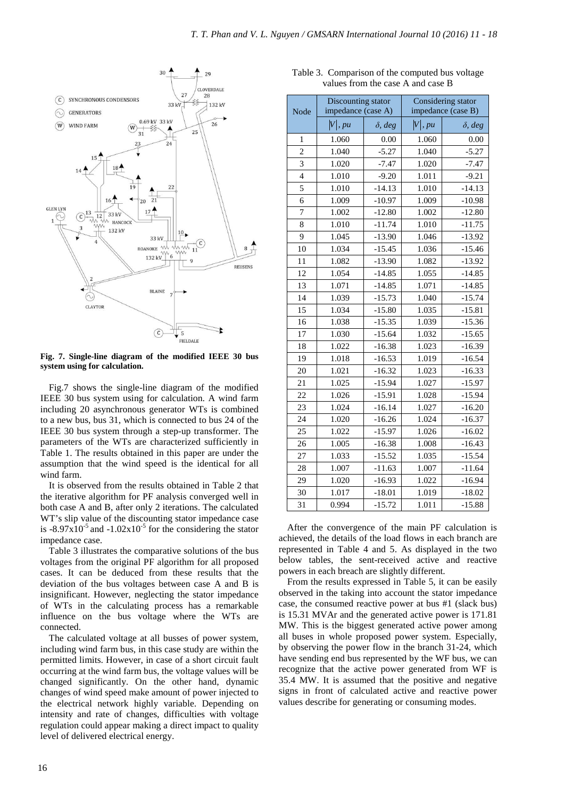

**Fig. 7. Single-line diagram of the modified IEEE 30 bus system using for calculation.**

Fig.7 shows the single-line diagram of the modified IEEE 30 bus system using for calculation. A wind farm including 20 asynchronous generator WTs is combined to a new bus, bus 31, which is connected to bus 24 of the IEEE 30 bus system through a step-up transformer. The parameters of the WTs are characterized sufficiently in Table 1. The results obtained in this paper are under the assumption that the wind speed is the identical for all wind farm.

It is observed from the results obtained in Table 2 that the iterative algorithm for PF analysis converged well in both case A and B, after only 2 iterations. The calculated WT's slip value of the discounting stator impedance case is  $-8.97 \times 10^{-5}$  and  $-1.02 \times 10^{-5}$  for the considering the stator impedance case.

Table 3 illustrates the comparative solutions of the bus voltages from the original PF algorithm for all proposed cases. It can be deduced from these results that the deviation of the bus voltages between case A and B is insignificant. However, neglecting the stator impedance of WTs in the calculating process has a remarkable influence on the bus voltage where the WTs are connected.

The calculated voltage at all busses of power system, including wind farm bus, in this case study are within the permitted limits. However, in case of a short circuit fault occurring at the wind farm bus, the voltage values will be changed significantly. On the other hand, dynamic changes of wind speed make amount of power injected to the electrical network highly variable. Depending on intensity and rate of changes, difficulties with voltage regulation could appear making a direct impact to quality level of delivered electrical energy.

| Node           | Discounting stator<br>impedance (case A) |                | Considering stator<br>impedance (case B) |                |
|----------------|------------------------------------------|----------------|------------------------------------------|----------------|
|                | V , pu                                   | $\delta$ , deg | V , pu                                   | $\delta$ , deg |
| 1              | 1.060                                    | 0.00           | 1.060                                    | 0.00           |
| $\overline{c}$ | 1.040                                    | $-5.27$        | 1.040                                    | $-5.27$        |
| 3              | 1.020                                    | $-7.47$        | 1.020                                    | $-7.47$        |
| $\overline{4}$ | 1.010                                    | $-9.20$        | 1.011                                    | $-9.21$        |
| 5              | 1.010                                    | $-14.13$       | 1.010                                    | $-14.13$       |
| 6              | 1.009                                    | $-10.97$       | 1.009                                    | $-10.98$       |
| $\overline{7}$ | 1.002                                    | $-12.80$       | 1.002                                    | $-12.80$       |
| 8              | 1.010                                    | $-11.74$       | 1.010                                    | $-11.75$       |
| 9              | 1.045                                    | $-13.90$       | 1.046                                    | $-13.92$       |
| 10             | 1.034                                    | $-15.45$       | 1.036                                    | $-15.46$       |
| 11             | 1.082                                    | $-13.90$       | 1.082                                    | $-13.92$       |
| 12             | 1.054                                    | $-14.85$       | 1.055                                    | $-14.85$       |
| 13             | 1.071                                    | $-14.85$       | 1.071                                    | $-14.85$       |
| 14             | 1.039                                    | $-15.73$       | 1.040                                    | $-15.74$       |
| 15             | 1.034                                    | $-15.80$       | 1.035                                    | $-15.81$       |
| 16             | 1.038                                    | $-15.35$       | 1.039                                    | $-15.36$       |
| 17             | 1.030                                    | $-15.64$       | 1.032                                    | $-15.65$       |
| 18             | 1.022                                    | $-16.38$       | 1.023                                    | $-16.39$       |
| 19             | 1.018                                    | $-16.53$       | 1.019                                    | $-16.54$       |
| 20             | 1.021                                    | $-16.32$       | 1.023                                    | $-16.33$       |
| 21             | 1.025                                    | $-15.94$       | 1.027                                    | $-15.97$       |
| 22             | 1.026                                    | $-15.91$       | 1.028                                    | $-15.94$       |
| 23             | 1.024                                    | $-16.14$       | 1.027                                    | $-16.20$       |
| 24             | 1.020                                    | $-16.26$       | 1.024                                    | $-16.37$       |
| 25             | 1.022                                    | $-15.97$       | 1.026                                    | $-16.02$       |
| 26             | 1.005                                    | $-16.38$       | 1.008                                    | $-16.43$       |
| 27             | 1.033                                    | $-15.52$       | 1.035                                    | $-15.54$       |
| 28             | 1.007                                    | $-11.63$       | 1.007                                    | $-11.64$       |
| 29             | 1.020                                    | $-16.93$       | 1.022                                    | $-16.94$       |
| 30             | 1.017                                    | $-18.01$       | 1.019                                    | $-18.02$       |
| 31             | 0.994                                    | $-15.72$       | 1.011                                    | $-15.88$       |

Table 3. Comparison of the computed bus voltage values from the case A and case B

After the convergence of the main PF calculation is achieved, the details of the load flows in each branch are represented in Table 4 and 5. As displayed in the two below tables, the sent-received active and reactive powers in each breach are slightly different.

From the results expressed in Table 5, it can be easily observed in the taking into account the stator impedance case, the consumed reactive power at bus #1 (slack bus) is 15.31 MVAr and the generated active power is 171.81 MW. This is the biggest generated active power among all buses in whole proposed power system. Especially, by observing the power flow in the branch 31-24, which have sending end bus represented by the WF bus, we can recognize that the active power generated from WF is 35.4 MW. It is assumed that the positive and negative signs in front of calculated active and reactive power values describe for generating or consuming modes.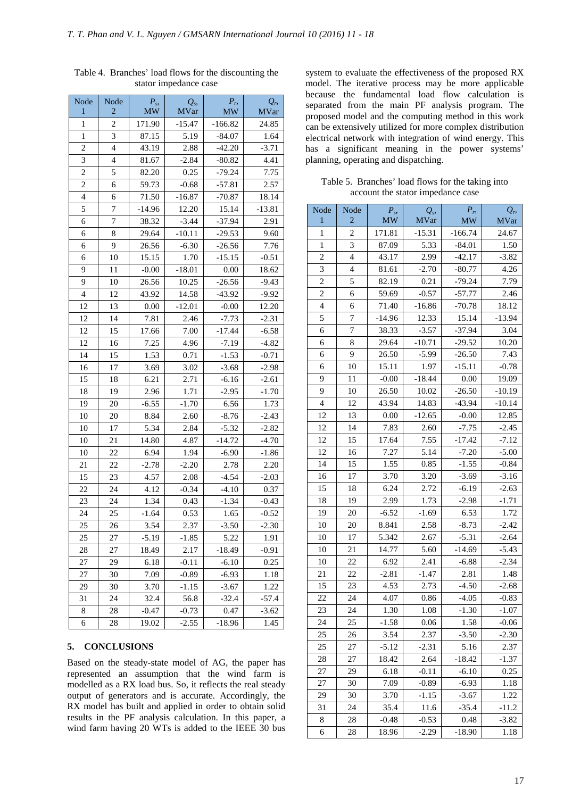| Node<br>1      | Node<br>2      | $P_s$<br><b>MW</b> | $Q_s$<br><b>MVar</b> | $P_{r}$<br><b>MW</b> | $Q_{r}$<br><b>MVar</b> |
|----------------|----------------|--------------------|----------------------|----------------------|------------------------|
| $\mathbf{1}$   | $\overline{2}$ | 171.90             | $-15.47$             | $-166.82$            | 24.85                  |
| $\mathbf{1}$   | 3              | 87.15              | 5.19                 | $-84.07$             | 1.64                   |
| $\overline{c}$ | $\overline{4}$ | 43.19              | 2.88                 | $-42.20$             | $-3.71$                |
| 3              | $\overline{4}$ | 81.67              | $-2.84$              | $-80.82$             | 4.41                   |
| $\overline{c}$ | 5              | 82.20              | 0.25                 | $-79.24$             | 7.75                   |
| $\overline{c}$ | 6              | 59.73              | $-0.68$              | $-57.81$             | 2.57                   |
| $\overline{4}$ | 6              | 71.50              | $-16.87$             | $-70.87$             | 18.14                  |
| 5              | 7              | $-14.96$           | 12.20                | 15.14                | $-13.81$               |
| 6              | 7              | 38.32              | $-3.44$              | $-37.94$             | 2.91                   |
| 6              | 8              | 29.64              | $-10.11$             | $-29.53$             | 9.60                   |
| 6              | 9              | 26.56              | $-6.30$              | $-26.56$             | 7.76                   |
| 6              | 10             | 15.15              | 1.70                 | $-15.15$             | $-0.51$                |
| 9              | 11             | $-0.00$            | $-18.01$             | 0.00                 | 18.62                  |
| 9              | 10             | 26.56              | 10.25                | $-26.56$             | $-9.43$                |
| $\overline{4}$ | 12             | 43.92              | 14.58                | $-43.92$             | $-9.92$                |
| 12             | 13             | 0.00               | $-12.01$             | $-0.00$              | 12.20                  |
| 12             | 14             | 7.81               | 2.46                 | $-7.73$              | $-2.31$                |
| 12             | 15             | 17.66              | 7.00                 | $-17.44$             | $-6.58$                |
| 12             | 16             | 7.25               | 4.96                 | $-7.19$              | $-4.82$                |
| 14             | 15             | 1.53               | 0.71                 | $-1.53$              | $-0.71$                |
| 16             | 17             | 3.69               | 3.02                 | $-3.68$              | $-2.98$                |
| 15             | 18             | 6.21               | 2.71                 | $-6.16$              | $-2.61$                |
| 18             | 19             | 2.96               | 1.71                 | $-2.95$              | $-1.70$                |
| 19             | 20             | $-6.55$            | $-1.70$              | 6.56                 | 1.73                   |
| 10             | 20             | 8.84               | 2.60                 | $-8.76$              | $-2.43$                |
| 10             | 17             | 5.34               | 2.84                 | $-5.32$              | $-2.82$                |
| 10             | 21             | 14.80              | 4.87                 | $-14.72$             | $-4.70$                |
| 10             | 22             | 6.94               | 1.94                 | $-6.90$              | $-1.86$                |
| 21             | 22             | $-2.78$            | $-2.20$              | 2.78                 | 2.20                   |
| 15             | 23             | 4.57               | 2.08                 | $-4.54$              | $-2.03$                |
| 22             | 24             | 4.12               | $-0.34$              | $-4.10$              | 0.37                   |
| 23             | 24             | 1.34               | 0.43                 | $-1.34$              | $-0.43$                |
| 24             | 25             | $-1.64$            | 0.53                 | 1.65                 | $-0.52$                |
| 25             | 26             | 3.54               | 2.37                 | $-3.50$              | $-2.30$                |
| 25             | 27             | $-5.19$            | $-1.85$              | 5.22                 | 1.91                   |
| 28             | 27             | 18.49              | 2.17                 | $-18.49$             | $-0.91$                |
| 27             | 29             | 6.18               | $-0.11$              | $-6.10$              | 0.25                   |
| 27             | 30             | 7.09               | $-0.89$              | $-6.93$              | 1.18                   |
| 29             | 30             | 3.70               | $-1.15$              | $-3.67$              | 1.22                   |
| 31             | 24             | 32.4               | 56.8                 | -32.4                | -57.4                  |
| 8              | 28             | $-0.47$            | $-0.73$              | 0.47                 | $-3.62$                |
| 6              | 28             | 19.02              | $-2.55$              | $-18.96$             | 1.45                   |

Table 4. Branches' load flows for the discounting the stator impedance case

### **5. CONCLUSIONS**

Based on the steady-state model of AG, the paper has represented an assumption that the wind farm is modelled as a RX load bus. So, it reflects the real steady output of generators and is accurate. Accordingly, the RX model has built and applied in order to obtain solid results in the PF analysis calculation. In this paper, a wind farm having 20 WTs is added to the IEEE 30 bus

system to evaluate the effectiveness of the proposed RX model. The iterative process may be more applicable because the fundamental load flow calculation is separated from the main PF analysis program. The proposed model and the computing method in this work can be extensively utilized for more complex distribution electrical network with integration of wind energy. This has a significant meaning in the power systems' planning, operating and dispatching.

Table 5. Branches' load flows for the taking into account the stator impedance case

| Node           | Node                     | $P_s$     | $Q_s$       | $P_{r}$   | $Q_{r}$      |
|----------------|--------------------------|-----------|-------------|-----------|--------------|
| 1              | $\overline{2}$           | <b>MW</b> | <b>MVar</b> | <b>MW</b> | <b>MV</b> ar |
| $\mathbf{1}$   | $\overline{c}$           | 171.81    | $-15.31$    | $-166.74$ | 24.67        |
| $\mathbf{1}$   | 3                        | 87.09     | 5.33        | $-84.01$  | 1.50         |
| $\overline{c}$ | $\overline{4}$           | 43.17     | 2.99        | $-42.17$  | $-3.82$      |
| 3              | $\overline{\mathcal{L}}$ | 81.61     | $-2.70$     | $-80.77$  | 4.26         |
| $\overline{c}$ | 5                        | 82.19     | 0.21        | $-79.24$  | 7.79         |
| $\overline{c}$ | 6                        | 59.69     | $-0.57$     | $-57.77$  | 2.46         |
| $\overline{4}$ | 6                        | 71.40     | $-16.86$    | $-70.78$  | 18.12        |
| 5              | $\sqrt{ }$               | $-14.96$  | 12.33       | 15.14     | $-13.94$     |
| 6              | 7                        | 38.33     | $-3.57$     | $-37.94$  | 3.04         |
| 6              | 8                        | 29.64     | $-10.71$    | $-29.52$  | 10.20        |
| 6              | 9                        | 26.50     | $-5.99$     | $-26.50$  | 7.43         |
| 6              | 10                       | 15.11     | 1.97        | $-15.11$  | $-0.78$      |
| 9              | 11                       | $-0.00$   | $-18.44$    | 0.00      | 19.09        |
| 9              | 10                       | 26.50     | 10.02       | $-26.50$  | $-10.19$     |
| $\overline{4}$ | 12                       | 43.94     | 14.83       | $-43.94$  | $-10.14$     |
| 12             | 13                       | 0.00      | $-12.65$    | $-0.00$   | 12.85        |
| 12             | 14                       | 7.83      | 2.60        | $-7.75$   | $-2.45$      |
| 12             | 15                       | 17.64     | 7.55        | $-17.42$  | $-7.12$      |
| 12             | 16                       | 7.27      | 5.14        | $-7.20$   | $-5.00$      |
| 14             | 15                       | 1.55      | 0.85        | $-1.55$   | $-0.84$      |
| 16             | 17                       | 3.70      | 3.20        | $-3.69$   | $-3.16$      |
| 15             | 18                       | 6.24      | 2.72        | $-6.19$   | $-2.63$      |
| 18             | 19                       | 2.99      | 1.73        | $-2.98$   | $-1.71$      |
| 19             | 20                       | $-6.52$   | $-1.69$     | 6.53      | 1.72         |
| 10             | 20                       | 8.841     | 2.58        | $-8.73$   | $-2.42$      |
| 10             | 17                       | 5.342     | 2.67        | $-5.31$   | $-2.64$      |
| 10             | 21                       | 14.77     | 5.60        | $-14.69$  | $-5.43$      |
| 10             | 22                       | 6.92      | 2.41        | $-6.88$   | $-2.34$      |
| 21             | 22                       | $-2.81$   | $-1.47$     | 2.81      | 1.48         |
| 15             | 23                       | 4.53      | 2.73        | $-4.50$   | $-2.68$      |
| 22             | 24                       | 4.07      | 0.86        | $-4.05$   | $-0.83$      |
| 23             | 24                       | 1.30      | 1.08        | $-1.30$   | $-1.07$      |
| 24             | 25                       | $-1.58$   | 0.06        | 1.58      | $-0.06$      |
| 25             | 26                       | 3.54      | 2.37        | $-3.50$   | $-2.30$      |
| 25             | 27                       | $-5.12$   | $-2.31$     | 5.16      | 2.37         |
| 28             | 27                       | 18.42     | 2.64        | $-18.42$  | $-1.37$      |
| 27             | 29                       | 6.18      | $-0.11$     | $-6.10$   | 0.25         |
| 27             | 30                       | 7.09      | $-0.89$     | $-6.93$   | 1.18         |
| 29             | 30                       | 3.70      | $-1.15$     | $-3.67$   | 1.22         |
| 31             | 24                       | 35.4      | 11.6        | $-35.4$   | -11.2        |
| 8              | 28                       | $-0.48$   | $-0.53$     | 0.48      | $-3.82$      |
| 6              | 28                       | 18.96     | $-2.29$     | $-18.90$  | 1.18         |